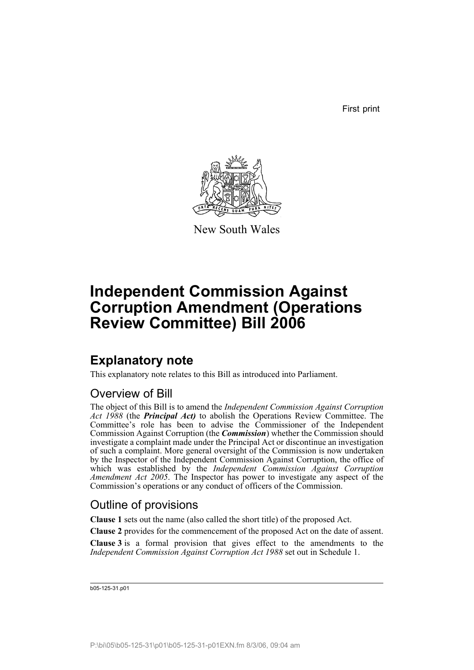First print



New South Wales

# **Independent Commission Against Corruption Amendment (Operations Review Committee) Bill 2006**

## **Explanatory note**

This explanatory note relates to this Bill as introduced into Parliament.

### Overview of Bill

The object of this Bill is to amend the *Independent Commission Against Corruption Act 1988* (the *Principal Act)* to abolish the Operations Review Committee. The Committee's role has been to advise the Commissioner of the Independent Commission Against Corruption (the *Commission*) whether the Commission should investigate a complaint made under the Principal Act or discontinue an investigation of such a complaint. More general oversight of the Commission is now undertaken by the Inspector of the Independent Commission Against Corruption, the office of which was established by the *Independent Commission Against Corruption Amendment Act 2005*. The Inspector has power to investigate any aspect of the Commission's operations or any conduct of officers of the Commission.

### Outline of provisions

**Clause 1** sets out the name (also called the short title) of the proposed Act.

**Clause 2** provides for the commencement of the proposed Act on the date of assent.

**Clause 3** is a formal provision that gives effect to the amendments to the *Independent Commission Against Corruption Act 1988* set out in Schedule 1.

b05-125-31.p01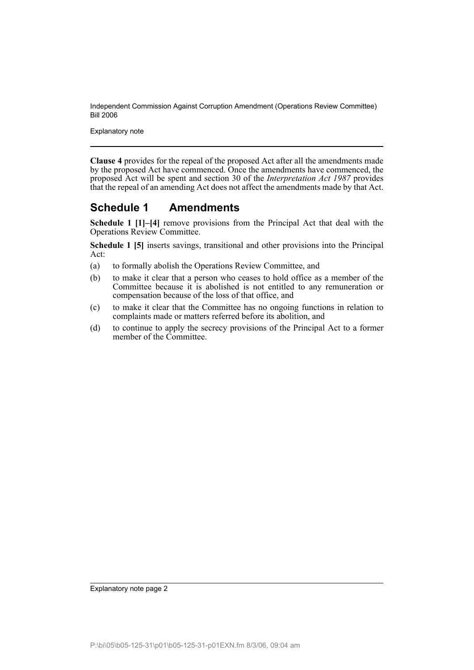Explanatory note

**Clause 4** provides for the repeal of the proposed Act after all the amendments made by the proposed Act have commenced. Once the amendments have commenced, the proposed Act will be spent and section 30 of the *Interpretation Act 1987* provides that the repeal of an amending Act does not affect the amendments made by that Act.

### **Schedule 1 Amendments**

**Schedule 1 [1]–[4]** remove provisions from the Principal Act that deal with the Operations Review Committee.

**Schedule 1 [5]** inserts savings, transitional and other provisions into the Principal Act:

- (a) to formally abolish the Operations Review Committee, and
- (b) to make it clear that a person who ceases to hold office as a member of the Committee because it is abolished is not entitled to any remuneration or compensation because of the loss of that office, and
- (c) to make it clear that the Committee has no ongoing functions in relation to complaints made or matters referred before its abolition, and
- (d) to continue to apply the secrecy provisions of the Principal Act to a former member of the Committee.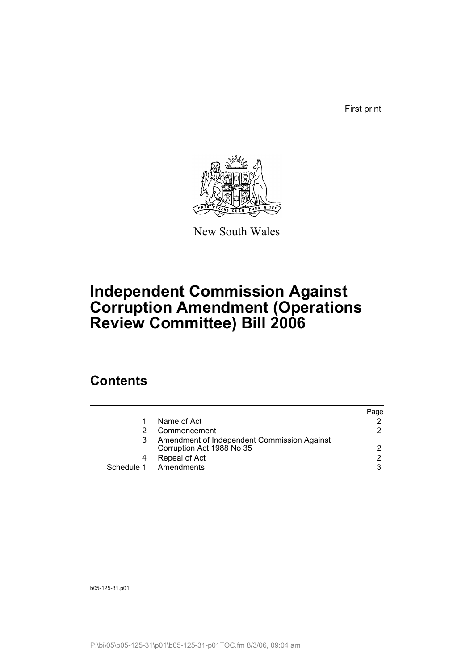First print



New South Wales

## **Independent Commission Against Corruption Amendment (Operations Review Committee) Bill 2006**

### **Contents**

|                                                                          | Page |
|--------------------------------------------------------------------------|------|
| Name of Act                                                              |      |
| Commencement                                                             | 2.   |
| Amendment of Independent Commission Against<br>Corruption Act 1988 No 35 | 2    |
| Repeal of Act                                                            | 2    |
| Schedule 1 Amendments                                                    | 3    |

b05-125-31.p01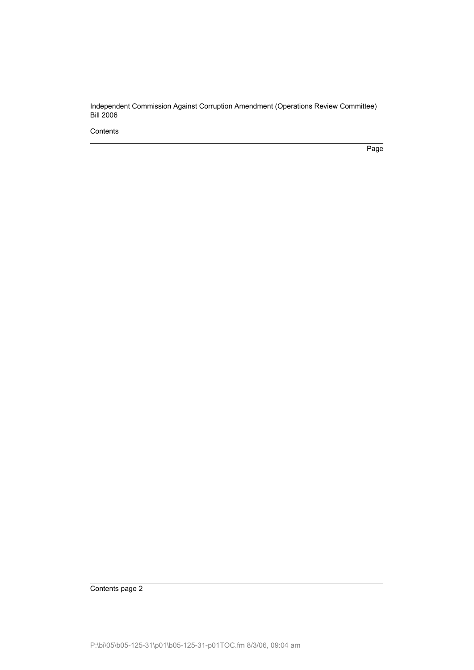**Contents** 

Page

Contents page 2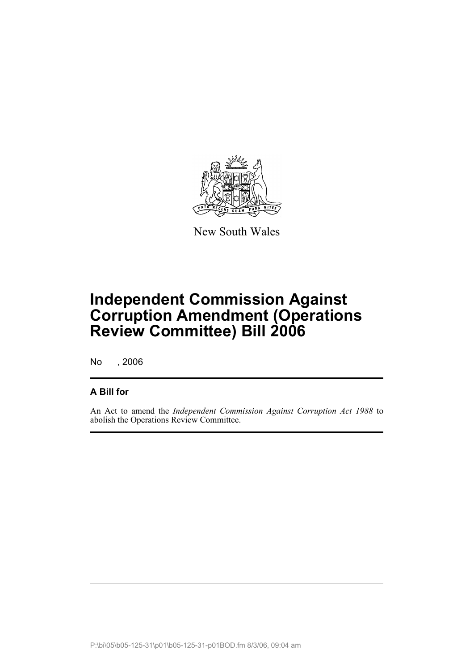

New South Wales

# **Independent Commission Against Corruption Amendment (Operations Review Committee) Bill 2006**

No , 2006

#### **A Bill for**

An Act to amend the *Independent Commission Against Corruption Act 1988* to abolish the Operations Review Committee.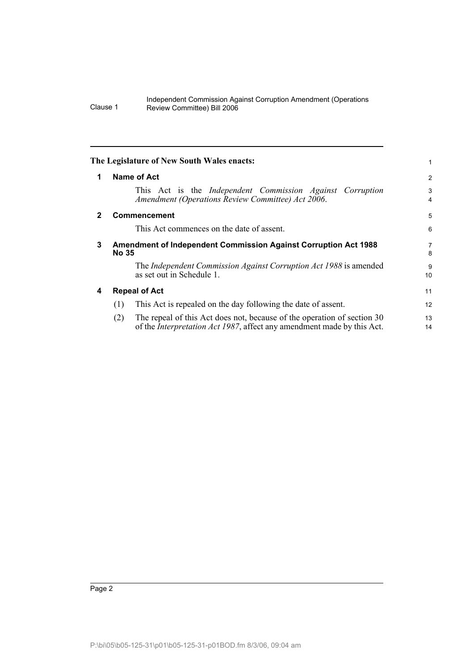<span id="page-5-3"></span><span id="page-5-2"></span><span id="page-5-1"></span><span id="page-5-0"></span>

|              | The Legislature of New South Wales enacts:                                                                                                                       | 1              |  |  |
|--------------|------------------------------------------------------------------------------------------------------------------------------------------------------------------|----------------|--|--|
| 1            | Name of Act                                                                                                                                                      | $\overline{c}$ |  |  |
|              | This Act is the <i>Independent</i> Commission <i>Against</i> Corruption<br>Amendment (Operations Review Committee) Act 2006.                                     | 3<br>4         |  |  |
| $\mathbf{2}$ | Commencement                                                                                                                                                     | 5              |  |  |
|              | This Act commences on the date of assent.                                                                                                                        | 6              |  |  |
| 3            | <b>Amendment of Independent Commission Against Corruption Act 1988</b><br><b>No 35</b>                                                                           |                |  |  |
|              | The Independent Commission Against Corruption Act 1988 is amended<br>as set out in Schedule 1.                                                                   | 9<br>10        |  |  |
| 4            | <b>Repeal of Act</b>                                                                                                                                             |                |  |  |
|              | This Act is repealed on the day following the date of assent.<br>(1)                                                                                             | 12             |  |  |
|              | (2)<br>The repeal of this Act does not, because of the operation of section 30<br>of the <i>Interpretation Act 1987</i> , affect any amendment made by this Act. | 13<br>14       |  |  |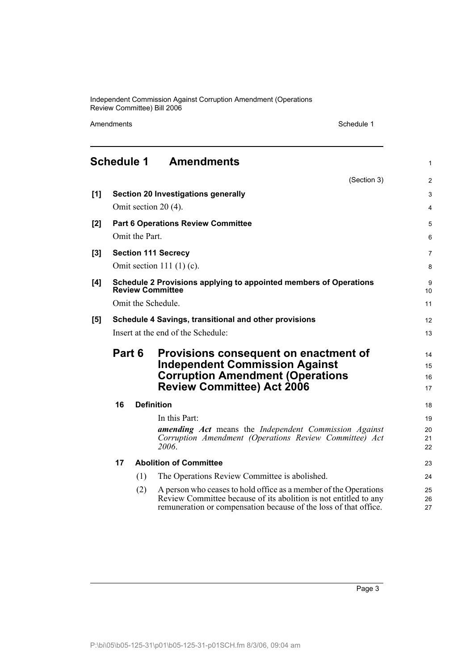Amendments Schedule 1

<span id="page-6-0"></span>

|       | <b>Schedule 1</b>                                                                            |                | <b>Amendments</b>                                                                                                                                                                                        | 1              |
|-------|----------------------------------------------------------------------------------------------|----------------|----------------------------------------------------------------------------------------------------------------------------------------------------------------------------------------------------------|----------------|
|       |                                                                                              |                | (Section 3)                                                                                                                                                                                              | 2              |
| [1]   | Section 20 Investigations generally<br>Omit section 20 (4).                                  |                |                                                                                                                                                                                                          | 3              |
|       |                                                                                              |                |                                                                                                                                                                                                          | 4              |
| [2]   |                                                                                              |                | <b>Part 6 Operations Review Committee</b>                                                                                                                                                                | 5              |
|       |                                                                                              | Omit the Part. |                                                                                                                                                                                                          | 6              |
| $[3]$ | <b>Section 111 Secrecy</b>                                                                   |                |                                                                                                                                                                                                          | 7              |
|       |                                                                                              |                | Omit section 111 $(1)(c)$ .                                                                                                                                                                              | 8              |
| [4]   | Schedule 2 Provisions applying to appointed members of Operations<br><b>Review Committee</b> |                |                                                                                                                                                                                                          | 9<br>10        |
|       |                                                                                              |                | Omit the Schedule.                                                                                                                                                                                       | 11             |
| [5]   |                                                                                              |                | Schedule 4 Savings, transitional and other provisions                                                                                                                                                    | 12             |
|       | Insert at the end of the Schedule:                                                           |                |                                                                                                                                                                                                          | 13             |
|       | Part 6<br>Provisions consequent on enactment of<br><b>Independent Commission Against</b>     |                | 14                                                                                                                                                                                                       |                |
|       |                                                                                              |                |                                                                                                                                                                                                          | 15             |
|       |                                                                                              |                | <b>Corruption Amendment (Operations</b>                                                                                                                                                                  | 16             |
|       |                                                                                              |                | <b>Review Committee) Act 2006</b>                                                                                                                                                                        | 17             |
|       | 16                                                                                           |                | <b>Definition</b>                                                                                                                                                                                        | 18             |
|       |                                                                                              |                | In this Part:                                                                                                                                                                                            | 19             |
|       |                                                                                              |                | <b>amending Act</b> means the Independent Commission Against                                                                                                                                             | 20             |
|       |                                                                                              |                | Corruption Amendment (Operations Review Committee) Act<br>2006.                                                                                                                                          | 21<br>22       |
|       | 17                                                                                           |                | <b>Abolition of Committee</b>                                                                                                                                                                            | 23             |
|       |                                                                                              | (1)            | The Operations Review Committee is abolished.                                                                                                                                                            | 24             |
|       |                                                                                              | (2)            | A person who ceases to hold office as a member of the Operations<br>Review Committee because of its abolition is not entitled to any<br>remuneration or compensation because of the loss of that office. | 25<br>26<br>27 |

Page 3